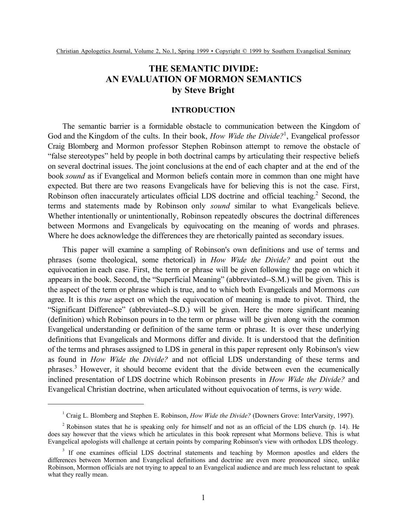# **THE SEMANTIC DIVIDE: AN EVALUATION OF MORMON SEMANTICS by Steve Bright**

## **INTRODUCTION**

The semantic barrier is a formidable obstacle to communication between the Kingdom of God and the Kingdom of the cults. In their book, *How Wide the Divide?*<sup>1</sup> , Evangelical professor Craig Blomberg and Mormon professor Stephen Robinson attempt to remove the obstacle of "false stereotypes" held by people in both doctrinal camps by articulating their respective beliefs on several doctrinal issues. The joint conclusions at the end of each chapter and at the end of the book *sound* as if Evangelical and Mormon beliefs contain more in common than one might have expected. But there are two reasons Evangelicals have for believing this is not the case. First, Robinson often inaccurately articulates official LDS doctrine and official teaching.<sup>2</sup> Second, the terms and statements made by Robinson only *sound* similar to what Evangelicals believe. Whether intentionally or unintentionally, Robinson repeatedly obscures the doctrinal differences between Mormons and Evangelicals by equivocating on the meaning of words and phrases. Where he does acknowledge the differences they are rhetorically painted as secondary issues.

This paper will examine a sampling of Robinson's own definitions and use of terms and phrases (some theological, some rhetorical) in *How Wide the Divide?* and point out the equivocation in each case. First, the term or phrase will be given following the page on which it appears in the book. Second, the "Superficial Meaning" (abbreviated--S.M.) will be given. This is the aspect of the term or phrase which is true, and to which both Evangelicals and Mormons *can* agree. It is this *true* aspect on which the equivocation of meaning is made to pivot. Third, the "Significant Difference" (abbreviated--S.D.) will be given. Here the more significant meaning (definition) which Robinson pours in to the term or phrase will be given along with the common Evangelical understanding or definition of the same term or phrase. It is over these underlying definitions that Evangelicals and Mormons differ and divide. It is understood that the definition of the terms and phrases assigned to LDS in general in this paper represent only Robinson's view as found in *How Wide the Divide?* and not official LDS understanding of these terms and phrases.<sup>3</sup> However, it should become evident that the divide between even the ecumenically inclined presentation of LDS doctrine which Robinson presents in *How Wide the Divide?* and Evangelical Christian doctrine, when articulated without equivocation of terms, is *very* wide.

<sup>&</sup>lt;sup>1</sup> Craig L. Blomberg and Stephen E. Robinson, *How Wide the Divide?* (Downers Grove: InterVarsity, 1997).

 $2$  Robinson states that he is speaking only for himself and not as an official of the LDS church (p. 14). He does say however that the views which he articulates in this book represent what Mormons believe. This is what Evangelical apologists will challenge at certain points by comparing Robinson's view with orthodox LDS theology.

<sup>&</sup>lt;sup>3</sup> If one examines official LDS doctrinal statements and teaching by Mormon apostles and elders the differences between Mormon and Evangelical definitions and doctrine are even more pronounced since, unlike Robinson, Mormon officials are not trying to appeal to an Evangelical audience and are much less reluctant to speak what they really mean.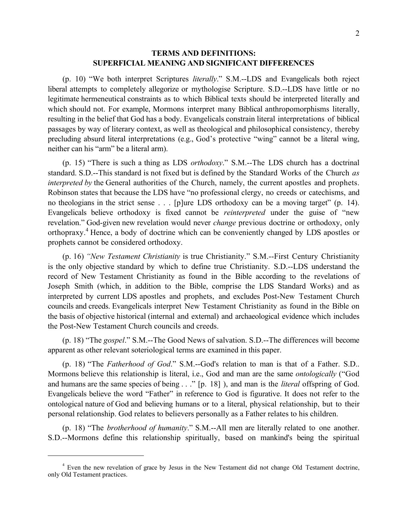## **TERMS AND DEFINITIONS: SUPERFICIAL MEANING AND SIGNIFICANT DIFFERENCES**

(p. 10) "We both interpret Scriptures *literally*." S.M.--LDS and Evangelicals both reject liberal attempts to completely allegorize or mythologise Scripture. S.D.--LDS have little or no legitimate hermeneutical constraints as to which Biblical texts should be interpreted literally and which should not. For example, Mormons interpret many Biblical anthropomorphisms literally, resulting in the belief that God has a body. Evangelicals constrain literal interpretations of biblical passages by way of literary context, as well as theological and philosophical consistency, thereby precluding absurd literal interpretations (e.g., God's protective "wing" cannot be a literal wing, neither can his "arm" be a literal arm).

(p. 15) "There is such a thing as LDS *orthodoxy*." S.M.--The LDS church has a doctrinal standard. S.D.--This standard is not fixed but is defined by the Standard Works of the Church *as interpreted by* the General authorities of the Church, namely, the current apostles and prophets. Robinson states that because the LDS have "no professional clergy, no creeds or catechisms, and no theologians in the strict sense . . . [p]ure LDS orthodoxy can be a moving target" (p. 14). Evangelicals believe orthodoxy is fixed cannot be *reinterpreted* under the guise of "new revelation." God-given new revelation would never *change* previous doctrine or orthodoxy, only orthopraxy.<sup>4</sup> Hence, a body of doctrine which can be conveniently changed by LDS apostles or prophets cannot be considered orthodoxy.

(p. 16) *"New Testament Christianity* is true Christianity." S.M.--First Century Christianity is the only objective standard by which to define true Christianity. S.D.--LDS understand the record of New Testament Christianity as found in the Bible according to the revelations of Joseph Smith (which, in addition to the Bible, comprise the LDS Standard Works) and as interpreted by current LDS apostles and prophets, and excludes Post-New Testament Church councils and creeds. Evangelicals interpret New Testament Christianity as found in the Bible on the basis of objective historical (internal and external) and archaeological evidence which includes the Post-New Testament Church councils and creeds.

(p. 18) "The *gospel*." S.M.--The Good News of salvation. S.D.--The differences will become apparent as other relevant soteriological terms are examined in this paper.

(p. 18) "The *Fatherhood of God*." S.M.--God's relation to man is that of a Father. S.D.. Mormons believe this relationship is literal, i.e., God and man are the same *ontologically* ("God and humans are the same species of being . . ." [p. 18] ), and man is the *literal* offspring of God. Evangelicals believe the word "Father" in reference to God is figurative. It does not refer to the ontological nature of God and believing humans or to a literal, physical relationship, but to their personal relationship. God relates to believers personally as a Father relates to his children.

(p. 18) "The *brotherhood of humanity*." S.M.--All men are literally related to one another. S.D.--Mormons define this relationship spiritually, based on mankind's being the spiritual

<sup>&</sup>lt;sup>4</sup> Even the new revelation of grace by Jesus in the New Testament did not change Old Testament doctrine, only Old Testament practices.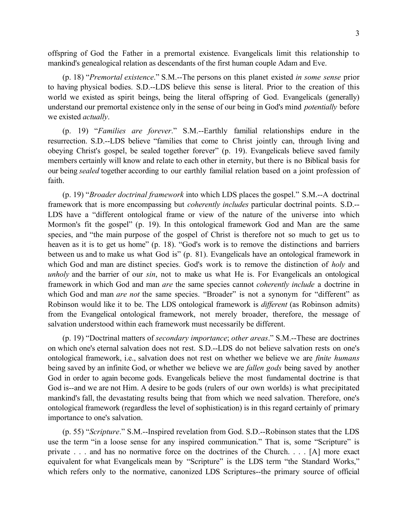offspring of God the Father in a premortal existence. Evangelicals limit this relationship to mankind's genealogical relation as descendants of the first human couple Adam and Eve.

(p. 18) "*Premortal existence*." S.M.--The persons on this planet existed *in some sense* prior to having physical bodies. S.D.--LDS believe this sense is literal. Prior to the creation of this world we existed as spirit beings, being the literal offspring of God. Evangelicals (generally) understand our premortal existence only in the sense of our being in God's mind *potentially* before we existed *actually*.

(p. 19) "*Families are forever*." S.M.--Earthly familial relationships endure in the resurrection. S.D.--LDS believe "families that come to Christ jointly can, through living and obeying Christ's gospel, be sealed together forever" (p. 19). Evangelicals believe saved family members certainly will know and relate to each other in eternity, but there is no Biblical basis for our being *sealed* together according to our earthly familial relation based on a joint profession of faith.

(p. 19) "*Broader doctrinal framework* into which LDS places the gospel." S.M.--A doctrinal framework that is more encompassing but *coherently includes* particular doctrinal points. S.D.-- LDS have a "different ontological frame or view of the nature of the universe into which Mormon's fit the gospel" (p. 19). In this ontological framework God and Man are the same species, and "the main purpose of the gospel of Christ is therefore not so much to get us to heaven as it is to get us home" (p. 18). "God's work is to remove the distinctions and barriers between us and to make us what God is" (p. 81). Evangelicals have an ontological framework in which God and man are distinct species. God's work is to remove the distinction of *holy* and *unholy* and the barrier of our *sin*, not to make us what He is. For Evangelicals an ontological framework in which God and man *are* the same species cannot *coherently include* a doctrine in which God and man *are not* the same species. "Broader" is not a synonym for "different" as Robinson would like it to be. The LDS ontological framework is *different* (as Robinson admits) from the Evangelical ontological framework, not merely broader, therefore, the message of salvation understood within each framework must necessarily be different.

(p. 19) "Doctrinal matters of *secondary importance*; *other areas*." S.M.--These are doctrines on which one's eternal salvation does not rest. S.D.--LDS do not believe salvation rests on one's ontological framework, i.e., salvation does not rest on whether we believe we are *finite humans* being saved by an infinite God, or whether we believe we are *fallen gods* being saved by another God in order to again become gods. Evangelicals believe the most fundamental doctrine is that God is--and we are not Him. A desire to be gods (rulers of our own worlds) is what precipitated mankind's fall, the devastating results being that from which we need salvation. Therefore, one's ontological framework (regardless the level of sophistication) is in this regard certainly of primary importance to one's salvation.

(p. 55) "*Scripture*." S.M.--Inspired revelation from God. S.D.--Robinson states that the LDS use the term "in a loose sense for any inspired communication." That is, some "Scripture" is private . . . and has no normative force on the doctrines of the Church. . . . [A] more exact equivalent for what Evangelicals mean by "Scripture" is the LDS term "the Standard Works," which refers only to the normative, canonized LDS Scriptures--the primary source of official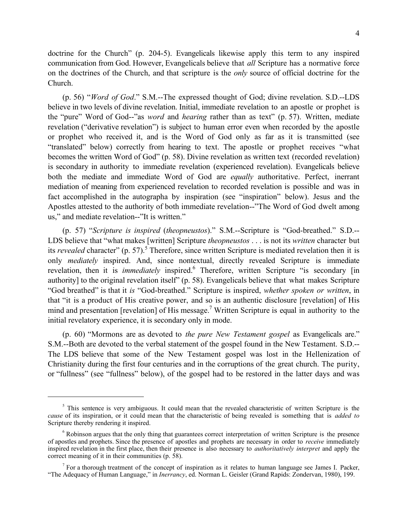doctrine for the Church" (p. 204-5). Evangelicals likewise apply this term to any inspired communication from God. However, Evangelicals believe that *all* Scripture has a normative force on the doctrines of the Church, and that scripture is the *only* source of official doctrine for the Church.

(p. 56) "*Word of God*." S.M.--The expressed thought of God; divine revelation. S.D.--LDS believe in two levels of divine revelation. Initial, immediate revelation to an apostle or prophet is the "pure" Word of God--"as *word* and *hearing* rather than as text" (p. 57). Written, mediate revelation ("derivative revelation") is subject to human error even when recorded by the apostle or prophet who received it, and is the Word of God only as far as it is transmitted (see "translated" below) correctly from hearing to text. The apostle or prophet receives "what becomes the written Word of God" (p. 58). Divine revelation as written text (recorded revelation) is secondary in authority to immediate revelation (experienced revelation). Evangelicals believe both the mediate and immediate Word of God are *equally* authoritative. Perfect, inerrant mediation of meaning from experienced revelation to recorded revelation is possible and was in fact accomplished in the autographa by inspiration (see "inspiration" below). Jesus and the Apostles attested to the authority of both immediate revelation--"The Word of God dwelt among us," and mediate revelation--"It is written."

(p. 57) "*Scripture is inspired* (*theopneustos*)." S.M.--Scripture is "God-breathed." S.D.-- LDS believe that "what makes [written] Scripture *theopneustos* . . . is not its *written* character but its *revealed* character" (p. 57).<sup>5</sup> Therefore, since written Scripture is mediated revelation then it is only *mediately* inspired. And, since nontextual, directly revealed Scripture is immediate revelation, then it is *immediately* inspired.<sup>6</sup> Therefore, written Scripture "is secondary [in authority] to the original revelation itself" (p. 58). Evangelicals believe that what makes Scripture "God breathed" is that it *is* "God-breathed." Scripture is inspired, *whether spoken or written*, in that "it is a product of His creative power, and so is an authentic disclosure [revelation] of His mind and presentation [revelation] of His message.<sup>7</sup> Written Scripture is equal in authority to the initial revelatory experience, it is secondary only in mode.

(p. 60) "Mormons are as devoted to *the pure New Testament gospel* as Evangelicals are." S.M.--Both are devoted to the verbal statement of the gospel found in the New Testament. S.D.-- The LDS believe that some of the New Testament gospel was lost in the Hellenization of Christianity during the first four centuries and in the corruptions of the great church. The purity, or "fullness" (see "fullness" below), of the gospel had to be restored in the latter days and was

<sup>&</sup>lt;sup>5</sup> This sentence is very ambiguous. It could mean that the revealed characteristic of written Scripture is the *cause* of its inspiration, or it could mean that the characteristic of being revealed is something that is *added to* Scripture thereby rendering it inspired.

<sup>&</sup>lt;sup>6</sup> Robinson argues that the only thing that guarantees correct interpretation of written Scripture is the presence of apostles and prophets. Since the presence of apostles and prophets are necessary in order to *receive* immediately inspired revelation in the first place, then their presence is also necessary to *authoritatively interpret* and apply the correct meaning of it in their communities (p. 58).

<sup>&</sup>lt;sup>7</sup> For a thorough treatment of the concept of inspiration as it relates to human language see James I. Packer, "The Adequacy of Human Language," in *Inerrancy*, ed. Norman L. Geisler (Grand Rapids: Zondervan, 1980), 199.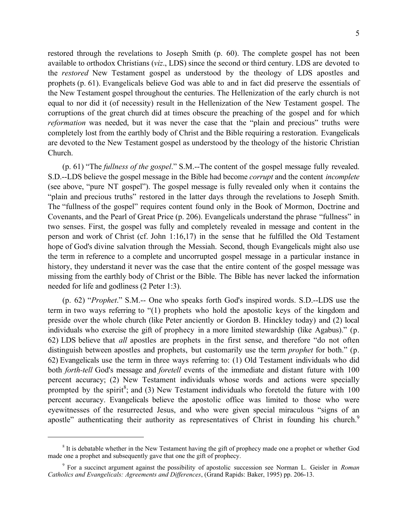restored through the revelations to Joseph Smith (p. 60). The complete gospel has not been available to orthodox Christians (*viz*., LDS) since the second or third century. LDS are devoted to the *restored* New Testament gospel as understood by the theology of LDS apostles and prophets (p. 61). Evangelicals believe God was able to and in fact did preserve the essentials of the New Testament gospel throughout the centuries. The Hellenization of the early church is not equal to nor did it (of necessity) result in the Hellenization of the New Testament gospel. The corruptions of the great church did at times obscure the preaching of the gospel and for which *reformation* was needed, but it was never the case that the "plain and precious" truths were completely lost from the earthly body of Christ and the Bible requiring a restoration. Evangelicals are devoted to the New Testament gospel as understood by the theology of the historic Christian Church.

(p. 61) "The *fullness of the gospel*." S.M.--The content of the gospel message fully revealed. S.D.--LDS believe the gospel message in the Bible had become *corrupt* and the content *incomplete* (see above, "pure NT gospel"). The gospel message is fully revealed only when it contains the "plain and precious truths" restored in the latter days through the revelations to Joseph Smith. The "fullness of the gospel" requires content found only in the Book of Mormon, Doctrine and Covenants, and the Pearl of Great Price (p. 206). Evangelicals understand the phrase "fullness" in two senses. First, the gospel was fully and completely revealed in message and content in the person and work of Christ (cf. John 1:16,17) in the sense that he fulfilled the Old Testament hope of God's divine salvation through the Messiah. Second, though Evangelicals might also use the term in reference to a complete and uncorrupted gospel message in a particular instance in history, they understand it never was the case that the entire content of the gospel message was missing from the earthly body of Christ or the Bible. The Bible has never lacked the information needed for life and godliness (2 Peter 1:3).

(p. 62) "*Prophet*." S.M.-- One who speaks forth God's inspired words. S.D.--LDS use the term in two ways referring to "(1) prophets who hold the apostolic keys of the kingdom and preside over the whole church (like Peter anciently or Gordon B. Hinckley today) and (2) local individuals who exercise the gift of prophecy in a more limited stewardship (like Agabus)." (p. 62) LDS believe that *all* apostles are prophets in the first sense, and therefore "do not often distinguish between apostles and prophets, but customarily use the term *prophet* for both." (p. 62) Evangelicals use the term in three ways referring to: (1) Old Testament individuals who did both *forth-tell* God's message and *foretell* events of the immediate and distant future with 100 percent accuracy; (2) New Testament individuals whose words and actions were specially prompted by the spirit<sup>8</sup>; and (3) New Testament individuals who foretold the future with  $100$ percent accuracy. Evangelicals believe the apostolic office was limited to those who were eyewitnesses of the resurrected Jesus, and who were given special miraculous "signs of an apostle" authenticating their authority as representatives of Christ in founding his church.<sup>9</sup>

<sup>&</sup>lt;sup>8</sup> It is debatable whether in the New Testament having the gift of prophecy made one a prophet or whether God made one a prophet and subsequently gave that one the gift of prophecy.

<sup>9</sup> For a succinct argument against the possibility of apostolic succession see Norman L. Geisler in *Roman Catholics and Evangelicals: Agreements and Differences*, (Grand Rapids: Baker, 1995) pp. 206-13.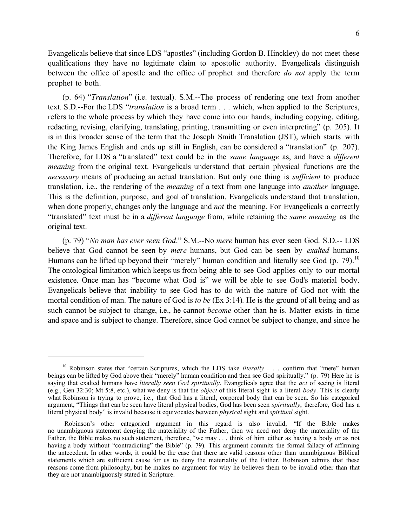Evangelicals believe that since LDS "apostles" (including Gordon B. Hinckley) do not meet these qualifications they have no legitimate claim to apostolic authority. Evangelicals distinguish between the office of apostle and the office of prophet and therefore *do not* apply the term prophet to both.

(p. 64) "*Translation*" (i.e. textual). S.M.--The process of rendering one text from another text. S.D.--For the LDS "*translation* is a broad term . . . which, when applied to the Scriptures, refers to the whole process by which they have come into our hands, including copying, editing, redacting, revising, clarifying, translating, printing, transmitting or even interpreting" (p. 205). It is in this broader sense of the term that the Joseph Smith Translation (JST), which starts with the King James English and ends up still in English, can be considered a "translation" (p. 207). Therefore, for LDS a "translated" text could be in the *same language* as, and have a *different meaning* from the original text. Evangelicals understand that certain physical functions are the *necessary* means of producing an actual translation. But only one thing is *sufficient* to produce translation, i.e., the rendering of the *meaning* of a text from one language into *another* language. This is the definition, purpose, and goal of translation. Evangelicals understand that translation, when done properly, changes only the language and *not* the meaning. For Evangelicals a correctly "translated" text must be in a *different language* from, while retaining the *same meaning* as the original text.

(p. 79) "*No man has ever seen God*." S.M.--No *mere* human has ever seen God. S.D.-- LDS believe that God cannot be seen by *mere* humans, but God can be seen by *exalted* humans. Humans can be lifted up beyond their "merely" human condition and literally see God (p. 79).<sup>10</sup> The ontological limitation which keeps us from being able to see God applies only to our mortal existence. Once man has "become what God is" we will be able to see God's material body. Evangelicals believe that inability to see God has to do with the nature of God not with the mortal condition of man. The nature of God is *to be* (Ex 3:14)*.* He is the ground of all being and as such cannot be subject to change, i.e., he cannot *become* other than he is. Matter exists in time and space and is subject to change. Therefore, since God cannot be subject to change, and since he

<sup>&</sup>lt;sup>10</sup> Robinson states that "certain Scriptures, which the LDS take *literally* . . . confirm that "mere" human beings can be lifted by God above their "merely" human condition and then see God spiritually." (p. 79) Here he is saying that exalted humans have *literally seen God spiritually*. Evangelicals agree that the *act* of seeing is literal (e.g., Gen 32:30; Mt 5:8, etc.), what we deny is that the *object* of this literal sight is a literal *body*. This is clearly what Robinson is trying to prove, i.e., that God has a literal, corporeal body that can be seen. So his categorical argument, "Things that can be seen have literal physical bodies, God has been seen *spiritually*, therefore, God has a literal physical body" is invalid because it equivocates between *physical* sight and *spiritual* sight.

Robinson's other categorical argument in this regard is also invalid, "If the Bible makes no unambiguous statement denying the materiality of the Father, then we need not deny the materiality of the Father, the Bible makes no such statement, therefore, "we may . . . think of him either as having a body or as not having a body without "contradicting" the Bible" (p. 79). This argument commits the formal fallacy of affirming the antecedent. In other words, it could be the case that there are valid reasons other than unambiguous Biblical statements which are sufficient cause for us to deny the materiality of the Father. Robinson admits that these reasons come from philosophy, but he makes no argument for why he believes them to be invalid other than that they are not unambiguously stated in Scripture.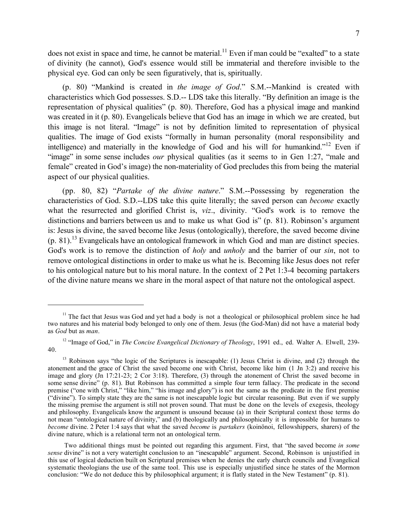does not exist in space and time, he cannot be material.<sup>11</sup> Even if man could be "exalted" to a state of divinity (he cannot), God's essence would still be immaterial and therefore invisible to the physical eye. God can only be seen figuratively, that is, spiritually.

(p. 80) "Mankind is created in *the image of God*." S.M.--Mankind is created with characteristics which God possesses. S.D.-- LDS take this literally. "By definition an image is the representation of physical qualities" (p. 80). Therefore, God has a physical image and mankind was created in it (p. 80). Evangelicals believe that God has an image in which we are created, but this image is not literal. "Image" is not by definition limited to representation of physical qualities. The image of God exists "formally in human personality (moral responsibility and intelligence) and materially in the knowledge of God and his will for humankind."<sup>12</sup> Even if "image" in some sense includes *our* physical qualities (as it seems to in Gen 1:27, "male and female" created in God's image) the non-materiality of God precludes this from being the material aspect of our physical qualities.

(pp. 80, 82) "*Partake of the divine nature*." S.M.--Possessing by regeneration the characteristics of God. S.D.--LDS take this quite literally; the saved person can *become* exactly what the resurrected and glorified Christ is, *viz*., divinity. "God's work is to remove the distinctions and barriers between us and to make us what God is" (p. 81). Robinson's argument is: Jesus is divine, the saved become like Jesus (ontologically), therefore, the saved become divine (p. 81).13 Evangelicals have an ontological framework in which God and man are distinct species. God's work is to remove the distinction of *holy* and *unholy* and the barrier of our *sin*, not to remove ontological distinctions in order to make us what he is. Becoming like Jesus does not refer to his ontological nature but to his moral nature. In the context of 2 Pet 1:3-4 becoming partakers of the divine nature means we share in the moral aspect of that nature not the ontological aspect.

<sup>&</sup>lt;sup>11</sup> The fact that Jesus was God and yet had a body is not a theological or philosophical problem since he had two natures and his material body belonged to only one of them. Jesus (the God-Man) did not have a material body as *God* but as *man*.

<sup>&</sup>lt;sup>12</sup> "Image of God," in *The Concise Evangelical Dictionary of Theology*, 1991 ed., ed. Walter A. Elwell, 239-40.

<sup>&</sup>lt;sup>13</sup> Robinson says "the logic of the Scriptures is inescapable: (1) Jesus Christ is divine, and (2) through the atonement and the grace of Christ the saved become one with Christ, become like him (1 Jn 3:2) and receive his image and glory (Jn 17:21-23; 2 Cor 3:18). Therefore, (3) through the atonement of Christ the saved become in some sense divine" (p. 81). But Robinson has committed a simple four term fallacy. The predicate in the second premise ("one with Christ," "like him," "his image and glory") is not the same as the predicate in the first premise ("divine"). To simply state they are the same is not inescapable logic but circular reasoning. But even if we supply the missing premise the argument is still not proven sound. That must be done on the levels of exegesis, theology and philosophy. Evangelicals know the argument is unsound because (a) in their Scriptural context those terms do not mean "ontological nature of divinity," and (b) theologically and philosophically it is impossible for humans to *become* divine. 2 Peter 1:4 says that what the saved *become* is *partakers* (koinönoi, fellowshippers, sharers) of the divine nature, which is a relational term not an ontological term.

Two additional things must be pointed out regarding this argument. First, that "the saved become *in some sense* divine" is not a very watertight conclusion to an "inescapable" argument. Second, Robinson is unjustified in this use of logical deduction built on Scriptural premises when he denies the early church councils and Evangelical systematic theologians the use of the same tool. This use is especially unjustified since he states of the Mormon conclusion: "We do not deduce this by philosophical argument; it is flatly stated in the New Testament" (p. 81).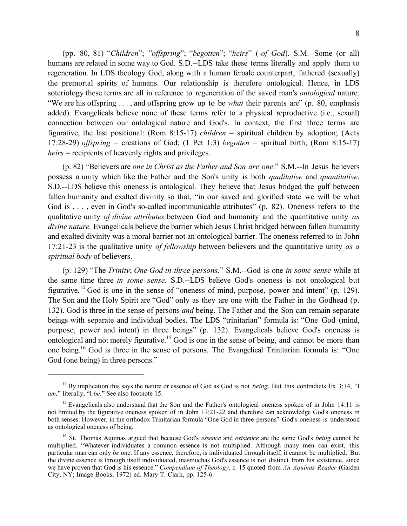(pp. 80, 81) "*Children*"; *"offspring*"; "*begotten*"; "*heirs*" (-*of God*). S.M.--Some (or all) humans are related in some way to God. S.D.--LDS take these terms literally and apply them to regeneration. In LDS theology God, along with a human female counterpart, fathered (sexually) the premortal spirits of humans. Our relationship is therefore ontological. Hence, in LDS soteriology these terms are all in reference to regeneration of the saved man's *ontological* nature. "We are his offspring . . . , and offspring grow up to be *what* their parents are" (p. 80, emphasis added). Evangelicals believe none of these terms refer to a physical reproductive (i.e., sexual) connection between our ontological nature and God's. In context, the first three terms are figurative, the last positional: (Rom 8:15-17) *children* = spiritual children by adoption; (Acts 17:28-29) *offspring* = creations of God; (1 Pet 1:3) *begotten* = spiritual birth; (Rom 8:15-17) *heirs* = recipients of heavenly rights and privileges.

(p. 82) "Believers are *one in Christ as the Father and Son are one*." S.M.--In Jesus believers possess a unity which like the Father and the Son's unity is both *qualitative* and *quantitative*. S.D.--LDS believe this oneness is ontological. They believe that Jesus bridged the gulf between fallen humanity and exalted divinity so that, "in our saved and glorified state we will be what God is . . . , even in God's so-called incommunicable attributes" (p. 82). Oneness refers to the qualitative unity *of divine attributes* between God and humanity and the quantitative unity *as divine nature.* Evangelicals believe the barrier which Jesus Christ bridged between fallen humanity and exalted divinity was a moral barrier not an ontological barrier. The oneness referred to in John 17:21-23 is the qualitative unity *of fellowship* between believers and the quantitative unity *as a spiritual body* of believers.

(p. 129) "The *Trinity*; *One God in three persons*." S.M.--God is one *in some sense* while at the same time three *in some sense.* S.D.--LDS believe God's oneness is not ontological but figurative.14 God is one in the sense of "oneness of mind, purpose, power and intent" (p. 129). The Son and the Holy Spirit are "God" only as they are one with the Father in the Godhead (p. 132). God is three in the sense of persons *and* being. The Father and the Son can remain separate beings with separate and individual bodies. The LDS "trinitarian" formula is: "One God (mind, purpose, power and intent) in three beings" (p. 132). Evangelicals believe God's oneness is ontological and not merely figurative.15 God is one in the sense of being, and cannot be more than one being.16 God is three in the sense of persons. The Evangelical Trinitarian formula is: "One God (one being) in three persons."

<sup>&</sup>lt;sup>14</sup> By implication this says the nature or essence of God as God is not *being*. But this contradicts Ex 3:14, "I *am,*" literally, "I *be*." See also footnote 15.

<sup>&</sup>lt;sup>15</sup> Evangelicals also understand that the Son and the Father's ontological oneness spoken of in John 14:11 is not limited by the figurative oneness spoken of in John 17:21-22 and therefore can acknowledge God's oneness in both senses. However, in the orthodox Trinitarian formula "One God in three persons" God's oneness is understood as ontological oneness of being.

<sup>16</sup> St. Thomas Aquinas argued that because God's *essence* and *existence* are the same God's *being* cannot be multiplied. "Whatever individuates a common essence is not multiplied. Although many men can exist, this particular man can only *be* one. If any essence, therefore, is individuated through itself, it cannot be multiplied. But the divine essence is through itself individuated, inasmuchas God's essence is not distinct from his existence, since we have proven that God is his essence." *Compendium of Theology*, c. 15 quoted from *An Aquinas Reader* (Garden City, NY; Image Books, 1972) ed. Mary T. Clark, pp. 125-6.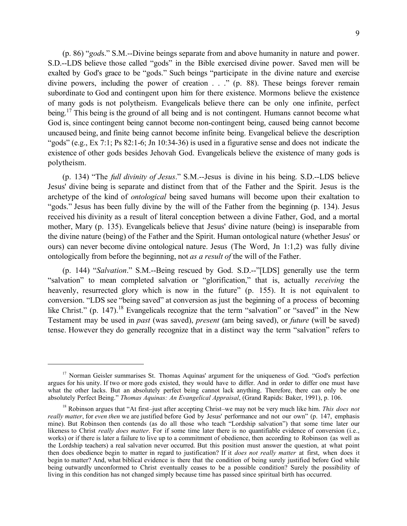9

(p. 86) "*god*s." S.M.--Divine beings separate from and above humanity in nature and power. S.D.--LDS believe those called "gods" in the Bible exercised divine power. Saved men will be exalted by God's grace to be "gods." Such beings "participate in the divine nature and exercise divine powers, including the power of creation . . ." (p. 88). These beings forever remain subordinate to God and contingent upon him for there existence. Mormons believe the existence of many gods is not polytheism. Evangelicals believe there can be only one infinite, perfect being.<sup>17</sup> This being is the ground of all being and is not contingent. Humans cannot become what God is, since contingent being cannot become non-contingent being, caused being cannot become uncaused being, and finite being cannot become infinite being. Evangelical believe the description "gods" (e.g., Ex 7:1; Ps 82:1-6; Jn 10:34-36) is used in a figurative sense and does not indicate the existence of other gods besides Jehovah God. Evangelicals believe the existence of many gods is polytheism.

(p. 134) "The *full divinity of Jesus*." S.M.--Jesus is divine in his being. S.D.--LDS believe Jesus' divine being is separate and distinct from that of the Father and the Spirit. Jesus is the archetype of the kind of *ontological* being saved humans will become upon their exaltation to "gods." Jesus has been fully divine by the will of the Father from the beginning (p. 134). Jesus received his divinity as a result of literal conception between a divine Father, God, and a mortal mother, Mary (p. 135). Evangelicals believe that Jesus' divine nature (being) is inseparable from the divine nature (being) of the Father and the Spirit. Human ontological nature (whether Jesus' or ours) can never become divine ontological nature. Jesus (The Word, Jn 1:1,2) was fully divine ontologically from before the beginning, not *as a result of* the will of the Father.

(p. 144) "*Salvation*." S.M.--Being rescued by God. S.D.--"[LDS] generally use the term "salvation" to mean completed salvation or "glorification," that is, actually *receiving* the heavenly, resurrected glory which is now in the future" (p. 155). It is not equivalent to conversion. "LDS see "being saved" at conversion as just the beginning of a process of becoming like Christ." (p. 147).<sup>18</sup> Evangelicals recognize that the term "salvation" or "saved" in the New Testament may be used in *past* (was saved), *present* (am being saved), or *future* (will be saved) tense. However they do generally recognize that in a distinct way the term "salvation" refers to

<sup>&</sup>lt;sup>17</sup> Norman Geisler summarises St. Thomas Aquinas' argument for the uniqueness of God. "God's perfection argues for his unity. If two or more gods existed, they would have to differ. And in order to differ one must have what the other lacks. But an absolutely perfect being cannot lack anything. Therefore, there can only be one absolutely Perfect Being." *Thomas Aquinas: An Evangelical Appraisal*, (Grand Rapids: Baker, 1991), p. 106.

<sup>18</sup> Robinson argues that "At first–just after accepting Christ–we may not be very much like him. *This does not really matter*, for *even then* we are justified before God by Jesus' performance and not our own" (p. 147, emphasis mine). But Robinson then contends (as do all those who teach "Lordship salvation") that some time later our likeness to Christ *really does matter*. For if some time later there is no quantifiable evidence of conversion (i.e., works) or if there is later a failure to live up to a commitment of obedience, then according to Robinson (as well as the Lordship teachers) a real salvation never occurred. But this position must answer the question, at what point then does obedience begin to matter in regard to justification? If it *does not really matter* at first, when does it begin to matter? And, what biblical evidence is there that the condition of being surely justified before God while being outwardly unconformed to Christ eventually ceases to be a possible condition? Surely the possibility of living in this condition has not changed simply because time has passed since spiritual birth has occurred.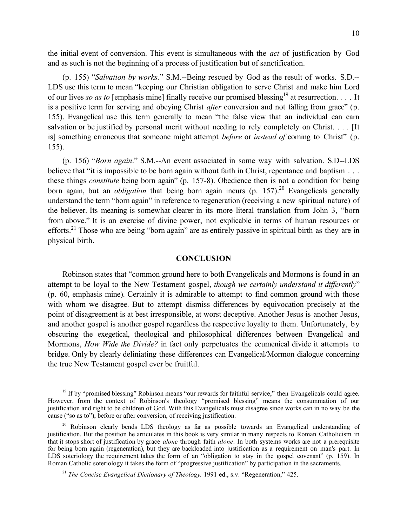the initial event of conversion. This event is simultaneous with the *act* of justification by God and as such is not the beginning of a process of justification but of sanctification.

(p. 155) "*Salvation by works*." S.M.--Being rescued by God as the result of works. S.D.-- LDS use this term to mean "keeping our Christian obligation to serve Christ and make him Lord of our lives *so as to* [emphasis mine] finally receive our promised blessing<sup>19</sup> at resurrection. . . . It is a positive term for serving and obeying Christ *after* conversion and not falling from grace" (p. 155). Evangelical use this term generally to mean "the false view that an individual can earn salvation or be justified by personal merit without needing to rely completely on Christ. . . . [It is] something erroneous that someone might attempt *before* or *instead of* coming to Christ" (p. 155).

(p. 156) "*Born again*." S.M.--An event associated in some way with salvation. S.D--LDS believe that "it is impossible to be born again without faith in Christ, repentance and baptism . . . these things *constitute* being born again" (p. 157-8). Obedience then is not a condition for being born again, but an *obligation* that being born again incurs (p. 157).<sup>20</sup> Evangelicals generally understand the term "born again" in reference to regeneration (receiving a new spiritual nature) of the believer. Its meaning is somewhat clearer in its more literal translation from John 3, "born from above." It is an exercise of divine power, not explicable in terms of human resources or efforts.21 Those who are being "born again" are as entirely passive in spiritual birth as they are in physical birth.

#### **CONCLUSION**

Robinson states that "common ground here to both Evangelicals and Mormons is found in an attempt to be loyal to the New Testament gospel, *though we certainly understand it differently*" (p. 60, emphasis mine). Certainly it is admirable to attempt to find common ground with those with whom we disagree. But to attempt dismiss differences by equivocation precisely at the point of disagreement is at best irresponsible, at worst deceptive. Another Jesus is another Jesus, and another gospel is another gospel regardless the respective loyalty to them. Unfortunately, by obscuring the exegetical, theological and philosophical differences between Evangelical and Mormons, *How Wide the Divide?* in fact only perpetuates the ecumenical divide it attempts to bridge. Only by clearly deliniating these differences can Evangelical/Mormon dialogue concerning the true New Testament gospel ever be fruitful.

<sup>&</sup>lt;sup>19</sup> If by "promised blessing" Robinson means "our rewards for faithful service," then Evangelicals could agree. However, from the context of Robinson's theology "promised blessing" means the consummation of our justification and right to be children of God. With this Evangelicals must disagree since works can in no way be the cause ("so as to"), before or after conversion, of receiving justification.

 $20$  Robinson clearly bends LDS theology as far as possible towards an Evangelical understanding of justification. But the position he articulates in this book is very similar in many respects to Roman Catholicism in that it stops short of justification by grace *alone* through faith *alone*. In both systems works are not a prerequisite for being born again (regeneration), but they are backloaded into justification as a requirement on man's part. In LDS soteriology the requirement takes the form of an "obligation to stay in the gospel covenant" (p. 159). In Roman Catholic soteriology it takes the form of "progressive justification" by participation in the sacraments.

<sup>21</sup> *The Concise Evangelical Dictionary of Theology,* 1991 ed., s.v. "Regeneration," 425.